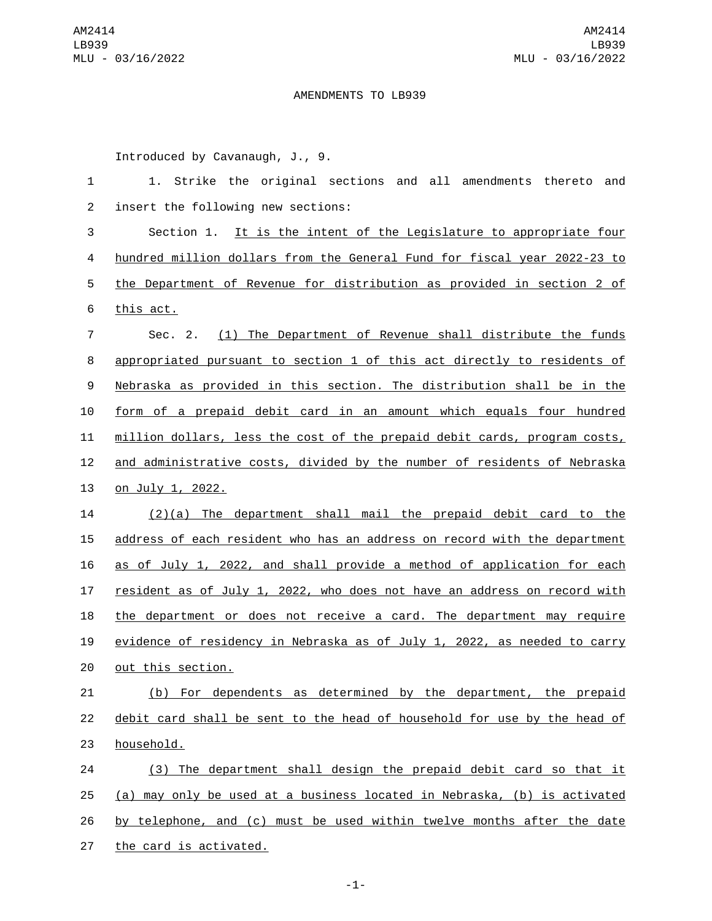## AMENDMENTS TO LB939

Introduced by Cavanaugh, J., 9.

| $\mathbf{1}$   | Strike the original sections and all amendments thereto<br>1.<br>and      |
|----------------|---------------------------------------------------------------------------|
| $\overline{c}$ | insert the following new sections:                                        |
| 3              | Section 1. It is the intent of the Legislature to appropriate four        |
| 4              | hundred million dollars from the General Fund for fiscal year 2022-23 to  |
| 5              | the Department of Revenue for distribution as provided in section 2 of    |
| 6              | this act.                                                                 |
| $\overline{7}$ | Sec. 2. (1) The Department of Revenue shall distribute the funds          |
| 8              | appropriated pursuant to section 1 of this act directly to residents of   |
| 9              | Nebraska as provided in this section. The distribution shall be in the    |
| 10             | form of a prepaid debit card in an amount which equals four hundred       |
| 11             | million dollars, less the cost of the prepaid debit cards, program costs, |
| 12             | and administrative costs, divided by the number of residents of Nebraska  |
| 13             | <u>on July 1, 2022.</u>                                                   |
| 14             | $(2)(a)$ The department shall mail the prepaid debit card to the          |
| 15             | address of each resident who has an address on record with the department |
| 16             | as of July 1, 2022, and shall provide a method of application for each    |
| 17             | resident as of July 1, 2022, who does not have an address on record with  |
| 18             | the department or does not receive a card. The department may require     |
| 19             | evidence of residency in Nebraska as of July 1, 2022, as needed to carry  |
| 20             | out this section.                                                         |
| 21             | (b) For dependents as determined by the department, the prepaid           |
| 22             | debit card shall be sent to the head of household for use by the head of  |
| 23             | household.                                                                |
| 24             | (3) The department shall design the prepaid debit card so that it         |
| 25             | (a) may only be used at a business located in Nebraska, (b) is activated  |
| 26             | by telephone, and (c) must be used within twelve months after the date    |
| 27             | the card is activated.                                                    |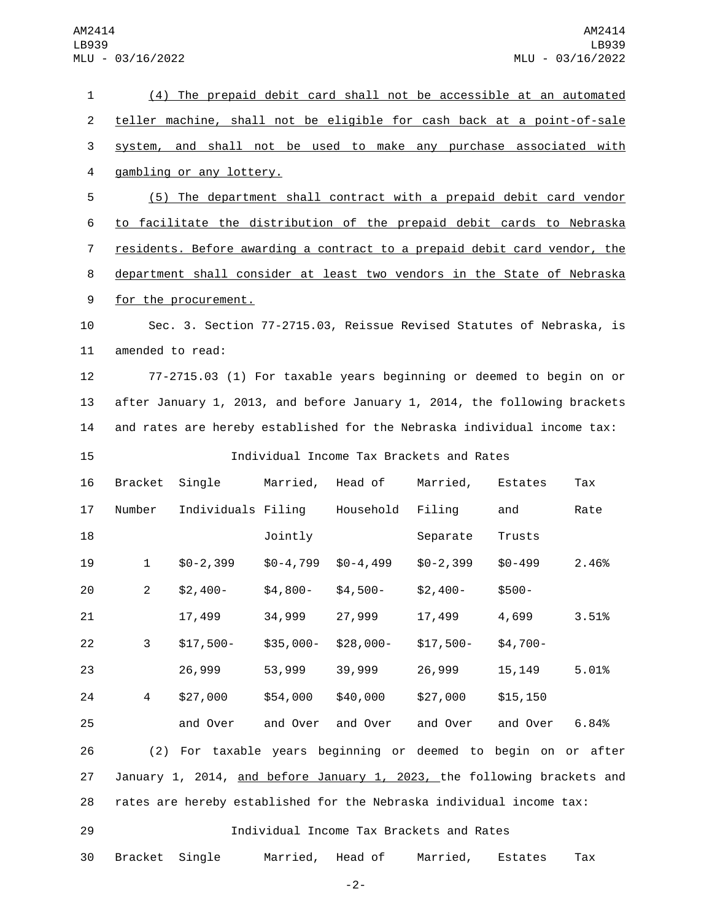| 1              |                                                                           | (4) The prepaid debit card shall not be accessible at an automated      |          |                                          |            |            |       |  |  |  |
|----------------|---------------------------------------------------------------------------|-------------------------------------------------------------------------|----------|------------------------------------------|------------|------------|-------|--|--|--|
| $\overline{2}$ |                                                                           | teller machine, shall not be eligible for cash back at a point-of-sale  |          |                                          |            |            |       |  |  |  |
| 3              | system, and shall not be used to make any purchase associated with        |                                                                         |          |                                          |            |            |       |  |  |  |
| 4              |                                                                           | gambling or any lottery.                                                |          |                                          |            |            |       |  |  |  |
| 5              | (5) The department shall contract with a prepaid debit card vendor        |                                                                         |          |                                          |            |            |       |  |  |  |
| 6              | to facilitate the distribution of the prepaid debit cards to Nebraska     |                                                                         |          |                                          |            |            |       |  |  |  |
| $\overline{7}$ | residents. Before awarding a contract to a prepaid debit card vendor, the |                                                                         |          |                                          |            |            |       |  |  |  |
| 8              | department shall consider at least two vendors in the State of Nebraska   |                                                                         |          |                                          |            |            |       |  |  |  |
| 9              | for the procurement.                                                      |                                                                         |          |                                          |            |            |       |  |  |  |
| 10             | Sec. 3. Section 77-2715.03, Reissue Revised Statutes of Nebraska, is      |                                                                         |          |                                          |            |            |       |  |  |  |
| 11             | amended to read:                                                          |                                                                         |          |                                          |            |            |       |  |  |  |
| 12             | 77-2715.03 (1) For taxable years beginning or deemed to begin on or       |                                                                         |          |                                          |            |            |       |  |  |  |
| 13             | after January 1, 2013, and before January 1, 2014, the following brackets |                                                                         |          |                                          |            |            |       |  |  |  |
| 14             | and rates are hereby established for the Nebraska individual income tax:  |                                                                         |          |                                          |            |            |       |  |  |  |
| 15             |                                                                           |                                                                         |          | Individual Income Tax Brackets and Rates |            |            |       |  |  |  |
| 16             | Bracket                                                                   | Single                                                                  |          | Married, Head of                         | Married,   | Estates    | Tax   |  |  |  |
| 17             | Number                                                                    | Individuals Filing Household                                            |          |                                          | Filing     | and        | Rate  |  |  |  |
| 18             |                                                                           |                                                                         | Jointly  |                                          | Separate   | Trusts     |       |  |  |  |
| 19             | $\mathbf{1}$                                                              | $$0-2,399$                                                              |          | \$0-4,799 \$0-4,499                      | $$0-2,399$ | $$0 - 499$ | 2.46% |  |  |  |
| 20             | $2^{\circ}$                                                               | $$2,400-$                                                               |          | $$4,800-$ \$4,500-                       | \$2,400-   | $$500-$    |       |  |  |  |
| 21             |                                                                           | 17,499                                                                  | 34,999   | 27,999                                   | 17,499     | 4,699      | 3.51% |  |  |  |
| 22             | $\mathbf{3}$                                                              | $$17,500-$ \$35,000-                                                    |          | \$28,000-                                | \$17,500-  | $$4,700-$  |       |  |  |  |
| 23             |                                                                           | 26,999                                                                  | 53,999   | 39,999                                   | 26,999     | 15,149     | 5.01% |  |  |  |
| 24             | $\overline{4}$                                                            | \$27,000                                                                | \$54,000 | \$40,000                                 | \$27,000   | \$15, 150  |       |  |  |  |
| 25             |                                                                           | and Over                                                                |          | and Over and Over                        | and Over   | and Over   | 6.84% |  |  |  |
| 26             |                                                                           | (2) For taxable years beginning or deemed to begin on or after          |          |                                          |            |            |       |  |  |  |
| 27             |                                                                           | January 1, 2014, and before January 1, 2023, the following brackets and |          |                                          |            |            |       |  |  |  |
| 28             |                                                                           | rates are hereby established for the Nebraska individual income tax:    |          |                                          |            |            |       |  |  |  |
| 29             | Individual Income Tax Brackets and Rates                                  |                                                                         |          |                                          |            |            |       |  |  |  |
| 30             | Bracket                                                                   | Single                                                                  | Married, | Head of                                  | Married,   | Estates    | Tax   |  |  |  |

-2-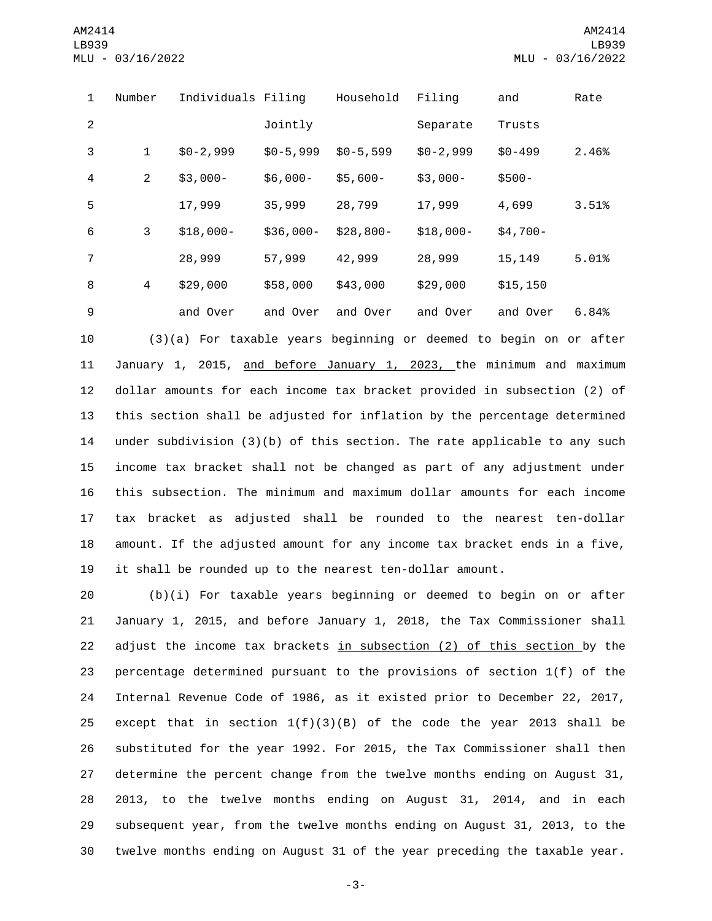| 1              | Number         | Individuals Filing |            | Household  | Filing     | and        | Rate  |
|----------------|----------------|--------------------|------------|------------|------------|------------|-------|
| 2              |                |                    | Jointly    |            | Separate   | Trusts     |       |
| 3              | 1              | $$0-2,999$         | $$0-5,999$ | $$0-5,599$ | $$0-2,999$ | $$0 - 499$ | 2.46% |
| $\overline{4}$ | $\overline{2}$ | $$3,000-$          | $$6,000-$  | $$5,600-$  | $$3,000-$  | $$500 -$   |       |
| 5              |                | 17,999             | 35,999     | 28,799     | 17,999     | 4,699      | 3.51% |
| 6              | 3              | $$18,000-$         | $$36,000-$ | $$28,800-$ | $$18,000-$ | $$4,700-$  |       |
| 7              |                | 28,999             | 57,999     | 42,999     | 28,999     | 15, 149    | 5.01% |
| 8              | 4              | \$29,000           | \$58,000   | \$43,000   | \$29,000   | \$15, 150  |       |
| 9              |                | and Over           | and Over   | and Over   | and Over   | and Over   | 6.84% |

 (3)(a) For taxable years beginning or deemed to begin on or after January 1, 2015, and before January 1, 2023, the minimum and maximum dollar amounts for each income tax bracket provided in subsection (2) of this section shall be adjusted for inflation by the percentage determined under subdivision (3)(b) of this section. The rate applicable to any such income tax bracket shall not be changed as part of any adjustment under this subsection. The minimum and maximum dollar amounts for each income tax bracket as adjusted shall be rounded to the nearest ten-dollar amount. If the adjusted amount for any income tax bracket ends in a five, it shall be rounded up to the nearest ten-dollar amount.

 (b)(i) For taxable years beginning or deemed to begin on or after January 1, 2015, and before January 1, 2018, the Tax Commissioner shall 22 adjust the income tax brackets in subsection (2) of this section by the percentage determined pursuant to the provisions of section 1(f) of the Internal Revenue Code of 1986, as it existed prior to December 22, 2017, 25 except that in section  $1(f)(3)(B)$  of the code the year 2013 shall be substituted for the year 1992. For 2015, the Tax Commissioner shall then 27 determine the percent change from the twelve months ending on August 31, 2013, to the twelve months ending on August 31, 2014, and in each subsequent year, from the twelve months ending on August 31, 2013, to the twelve months ending on August 31 of the year preceding the taxable year.

-3-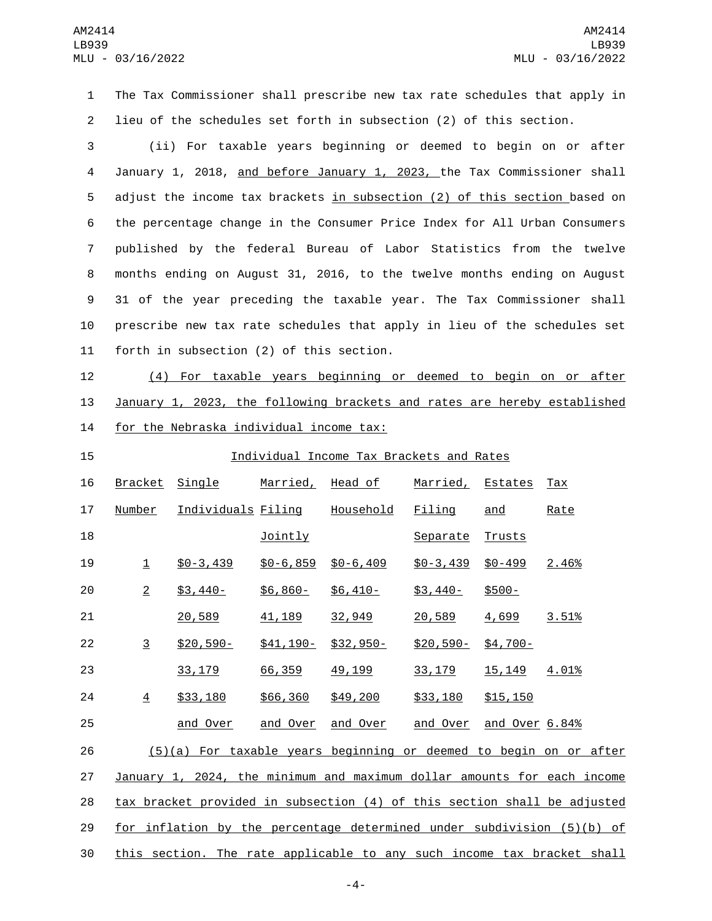The Tax Commissioner shall prescribe new tax rate schedules that apply in lieu of the schedules set forth in subsection (2) of this section.

 (ii) For taxable years beginning or deemed to begin on or after January 1, 2018, and before January 1, 2023, the Tax Commissioner shall adjust the income tax brackets in subsection (2) of this section based on the percentage change in the Consumer Price Index for All Urban Consumers published by the federal Bureau of Labor Statistics from the twelve months ending on August 31, 2016, to the twelve months ending on August 31 of the year preceding the taxable year. The Tax Commissioner shall prescribe new tax rate schedules that apply in lieu of the schedules set 11 forth in subsection (2) of this section.

 (4) For taxable years beginning or deemed to begin on or after January 1, 2023, the following brackets and rates are hereby established 14 for the Nebraska individual income tax:

 Individual Income Tax Brackets and Rates 16 Bracket Single Married, Head of Married, Estates Tax 17 <u>Number IndividualsFiling</u> Household Filing and Rate **18** Jointly **Separate Trusts**  \$0-3,439 \$0-6,859 \$0-6,409 \$0-3,439 \$0-499 2.46% \$3,440- \$6,860- \$6,410- \$3,440- \$500- 20,589 41,189 32,949 20,589 4,699 3.51% \$20,590- \$41,190- \$32,950- \$20,590- \$4,700- 33,179 66,359 49,199 33,179 15,149 4.01% 24 <u>4</u> \$33,180 \$66,360 \$49,200 \$33,180 \$15,150 and Over and Over and Over and Over and Over 6.84% (5)(a) For taxable years beginning or deemed to begin on or after January 1, 2024, the minimum and maximum dollar amounts for each income tax bracket provided in subsection (4) of this section shall be adjusted for inflation by the percentage determined under subdivision (5)(b) of this section. The rate applicable to any such income tax bracket shall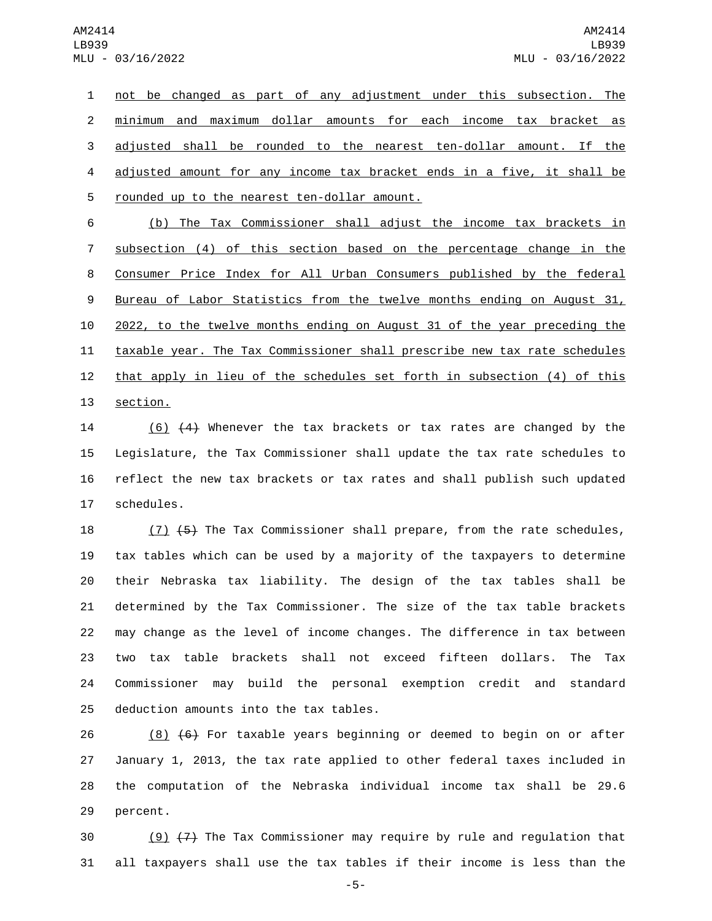not be changed as part of any adjustment under this subsection. The minimum and maximum dollar amounts for each income tax bracket as adjusted shall be rounded to the nearest ten-dollar amount. If the adjusted amount for any income tax bracket ends in a five, it shall be 5 rounded up to the nearest ten-dollar amount.

 (b) The Tax Commissioner shall adjust the income tax brackets in subsection (4) of this section based on the percentage change in the Consumer Price Index for All Urban Consumers published by the federal 9 Bureau of Labor Statistics from the twelve months ending on August 31, 2022, to the twelve months ending on August 31 of the year preceding the taxable year. The Tax Commissioner shall prescribe new tax rate schedules 12 that apply in lieu of the schedules set forth in subsection (4) of this 13 section.

14 (6) (4) Whenever the tax brackets or tax rates are changed by the 15 Legislature, the Tax Commissioner shall update the tax rate schedules to 16 reflect the new tax brackets or tax rates and shall publish such updated 17 schedules.

18 (7) (5) The Tax Commissioner shall prepare, from the rate schedules, tax tables which can be used by a majority of the taxpayers to determine their Nebraska tax liability. The design of the tax tables shall be determined by the Tax Commissioner. The size of the tax table brackets may change as the level of income changes. The difference in tax between two tax table brackets shall not exceed fifteen dollars. The Tax Commissioner may build the personal exemption credit and standard 25 deduction amounts into the tax tables.

26 (8)  $\left( 6 \right)$  For taxable years beginning or deemed to begin on or after 27 January 1, 2013, the tax rate applied to other federal taxes included in 28 the computation of the Nebraska individual income tax shall be 29.6 29 percent.

30  $(9)$   $(7)$  The Tax Commissioner may require by rule and regulation that 31 all taxpayers shall use the tax tables if their income is less than the

-5-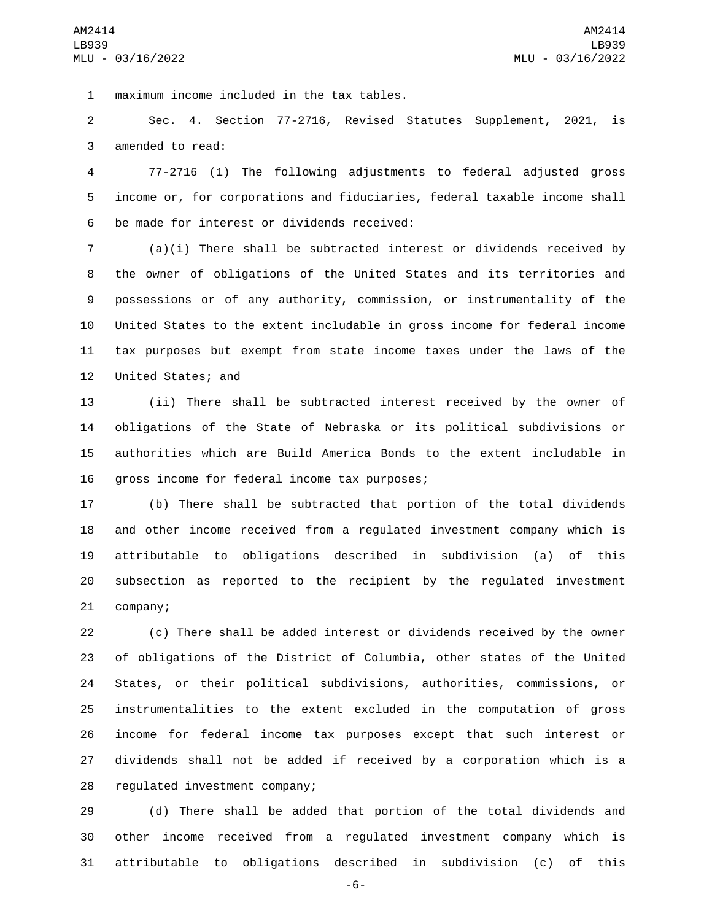maximum income included in the tax tables.1

 Sec. 4. Section 77-2716, Revised Statutes Supplement, 2021, is 3 amended to read:

 77-2716 (1) The following adjustments to federal adjusted gross income or, for corporations and fiduciaries, federal taxable income shall 6 be made for interest or dividends received:

 (a)(i) There shall be subtracted interest or dividends received by the owner of obligations of the United States and its territories and possessions or of any authority, commission, or instrumentality of the United States to the extent includable in gross income for federal income tax purposes but exempt from state income taxes under the laws of the 12 United States; and

 (ii) There shall be subtracted interest received by the owner of obligations of the State of Nebraska or its political subdivisions or authorities which are Build America Bonds to the extent includable in 16 gross income for federal income tax purposes;

 (b) There shall be subtracted that portion of the total dividends and other income received from a regulated investment company which is attributable to obligations described in subdivision (a) of this subsection as reported to the recipient by the regulated investment 21 company;

 (c) There shall be added interest or dividends received by the owner of obligations of the District of Columbia, other states of the United States, or their political subdivisions, authorities, commissions, or instrumentalities to the extent excluded in the computation of gross income for federal income tax purposes except that such interest or dividends shall not be added if received by a corporation which is a 28 regulated investment company;

 (d) There shall be added that portion of the total dividends and other income received from a regulated investment company which is attributable to obligations described in subdivision (c) of this

-6-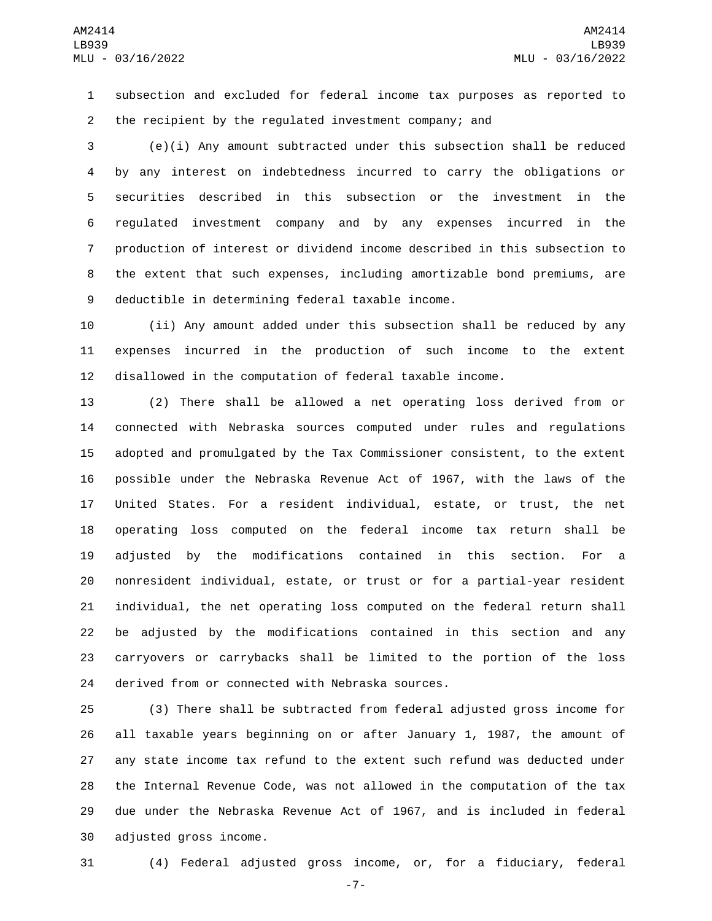subsection and excluded for federal income tax purposes as reported to the recipient by the regulated investment company; and

 (e)(i) Any amount subtracted under this subsection shall be reduced by any interest on indebtedness incurred to carry the obligations or securities described in this subsection or the investment in the regulated investment company and by any expenses incurred in the production of interest or dividend income described in this subsection to the extent that such expenses, including amortizable bond premiums, are 9 deductible in determining federal taxable income.

 (ii) Any amount added under this subsection shall be reduced by any expenses incurred in the production of such income to the extent disallowed in the computation of federal taxable income.

 (2) There shall be allowed a net operating loss derived from or connected with Nebraska sources computed under rules and regulations adopted and promulgated by the Tax Commissioner consistent, to the extent possible under the Nebraska Revenue Act of 1967, with the laws of the United States. For a resident individual, estate, or trust, the net operating loss computed on the federal income tax return shall be adjusted by the modifications contained in this section. For a nonresident individual, estate, or trust or for a partial-year resident individual, the net operating loss computed on the federal return shall be adjusted by the modifications contained in this section and any carryovers or carrybacks shall be limited to the portion of the loss 24 derived from or connected with Nebraska sources.

 (3) There shall be subtracted from federal adjusted gross income for all taxable years beginning on or after January 1, 1987, the amount of any state income tax refund to the extent such refund was deducted under the Internal Revenue Code, was not allowed in the computation of the tax due under the Nebraska Revenue Act of 1967, and is included in federal 30 adjusted gross income.

(4) Federal adjusted gross income, or, for a fiduciary, federal

-7-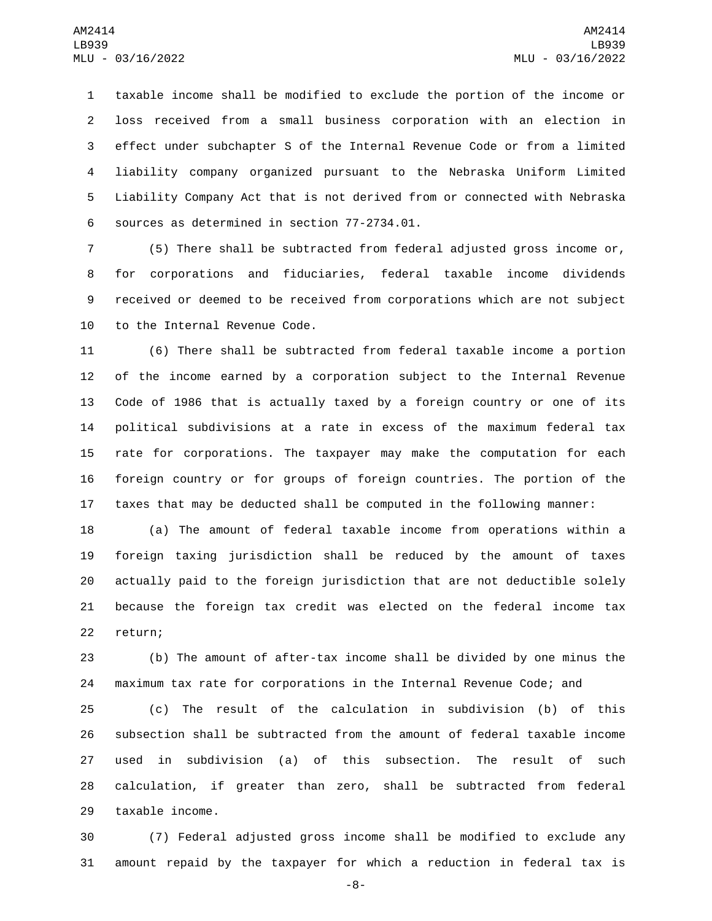taxable income shall be modified to exclude the portion of the income or loss received from a small business corporation with an election in effect under subchapter S of the Internal Revenue Code or from a limited liability company organized pursuant to the Nebraska Uniform Limited Liability Company Act that is not derived from or connected with Nebraska 6 sources as determined in section 77-2734.01.

 (5) There shall be subtracted from federal adjusted gross income or, for corporations and fiduciaries, federal taxable income dividends received or deemed to be received from corporations which are not subject 10 to the Internal Revenue Code.

 (6) There shall be subtracted from federal taxable income a portion of the income earned by a corporation subject to the Internal Revenue Code of 1986 that is actually taxed by a foreign country or one of its political subdivisions at a rate in excess of the maximum federal tax rate for corporations. The taxpayer may make the computation for each foreign country or for groups of foreign countries. The portion of the taxes that may be deducted shall be computed in the following manner:

 (a) The amount of federal taxable income from operations within a foreign taxing jurisdiction shall be reduced by the amount of taxes actually paid to the foreign jurisdiction that are not deductible solely because the foreign tax credit was elected on the federal income tax 22 return;

 (b) The amount of after-tax income shall be divided by one minus the maximum tax rate for corporations in the Internal Revenue Code; and

 (c) The result of the calculation in subdivision (b) of this subsection shall be subtracted from the amount of federal taxable income used in subdivision (a) of this subsection. The result of such calculation, if greater than zero, shall be subtracted from federal 29 taxable income.

 (7) Federal adjusted gross income shall be modified to exclude any amount repaid by the taxpayer for which a reduction in federal tax is

-8-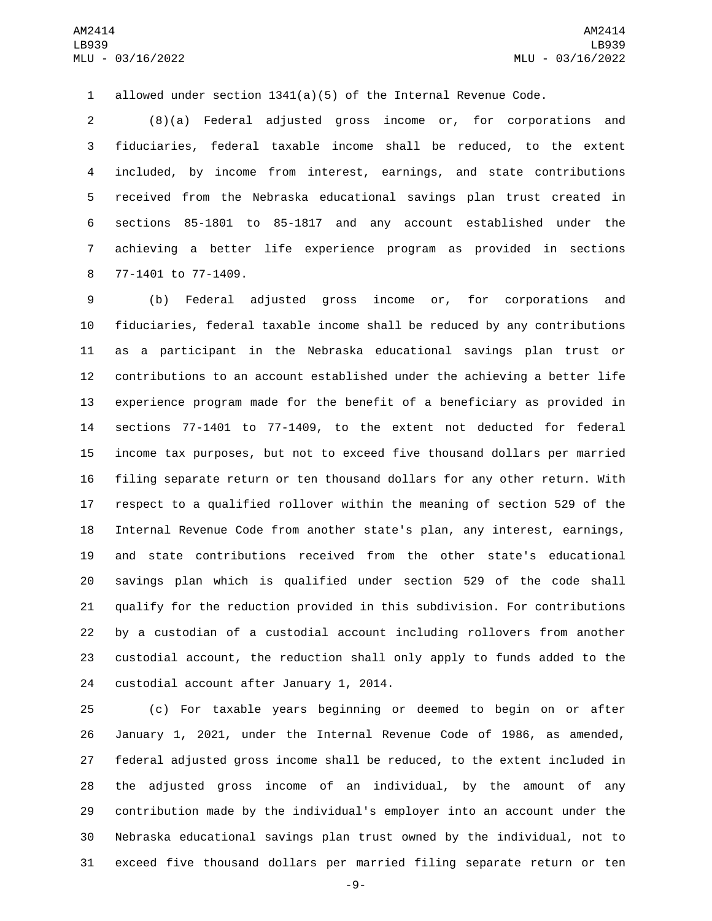allowed under section 1341(a)(5) of the Internal Revenue Code.

 (8)(a) Federal adjusted gross income or, for corporations and fiduciaries, federal taxable income shall be reduced, to the extent included, by income from interest, earnings, and state contributions received from the Nebraska educational savings plan trust created in sections 85-1801 to 85-1817 and any account established under the achieving a better life experience program as provided in sections 8 77-1401 to 77-1409.

 (b) Federal adjusted gross income or, for corporations and fiduciaries, federal taxable income shall be reduced by any contributions as a participant in the Nebraska educational savings plan trust or contributions to an account established under the achieving a better life experience program made for the benefit of a beneficiary as provided in sections 77-1401 to 77-1409, to the extent not deducted for federal income tax purposes, but not to exceed five thousand dollars per married filing separate return or ten thousand dollars for any other return. With respect to a qualified rollover within the meaning of section 529 of the Internal Revenue Code from another state's plan, any interest, earnings, and state contributions received from the other state's educational savings plan which is qualified under section 529 of the code shall qualify for the reduction provided in this subdivision. For contributions by a custodian of a custodial account including rollovers from another custodial account, the reduction shall only apply to funds added to the 24 custodial account after January 1, 2014.

 (c) For taxable years beginning or deemed to begin on or after January 1, 2021, under the Internal Revenue Code of 1986, as amended, federal adjusted gross income shall be reduced, to the extent included in the adjusted gross income of an individual, by the amount of any contribution made by the individual's employer into an account under the Nebraska educational savings plan trust owned by the individual, not to exceed five thousand dollars per married filing separate return or ten

-9-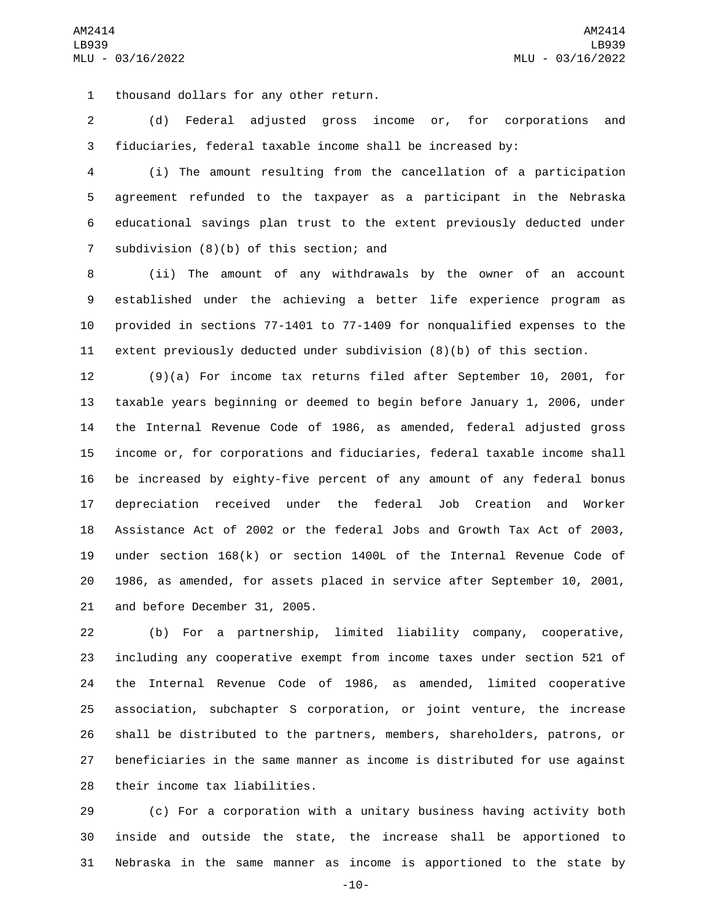1 thousand dollars for any other return.

 (d) Federal adjusted gross income or, for corporations and fiduciaries, federal taxable income shall be increased by:

 (i) The amount resulting from the cancellation of a participation agreement refunded to the taxpayer as a participant in the Nebraska educational savings plan trust to the extent previously deducted under 7 subdivision  $(8)(b)$  of this section; and

 (ii) The amount of any withdrawals by the owner of an account established under the achieving a better life experience program as provided in sections 77-1401 to 77-1409 for nonqualified expenses to the extent previously deducted under subdivision (8)(b) of this section.

 (9)(a) For income tax returns filed after September 10, 2001, for taxable years beginning or deemed to begin before January 1, 2006, under the Internal Revenue Code of 1986, as amended, federal adjusted gross income or, for corporations and fiduciaries, federal taxable income shall be increased by eighty-five percent of any amount of any federal bonus depreciation received under the federal Job Creation and Worker Assistance Act of 2002 or the federal Jobs and Growth Tax Act of 2003, under section 168(k) or section 1400L of the Internal Revenue Code of 1986, as amended, for assets placed in service after September 10, 2001, 21 and before December 31, 2005.

 (b) For a partnership, limited liability company, cooperative, including any cooperative exempt from income taxes under section 521 of the Internal Revenue Code of 1986, as amended, limited cooperative association, subchapter S corporation, or joint venture, the increase shall be distributed to the partners, members, shareholders, patrons, or beneficiaries in the same manner as income is distributed for use against 28 their income tax liabilities.

 (c) For a corporation with a unitary business having activity both inside and outside the state, the increase shall be apportioned to Nebraska in the same manner as income is apportioned to the state by

-10-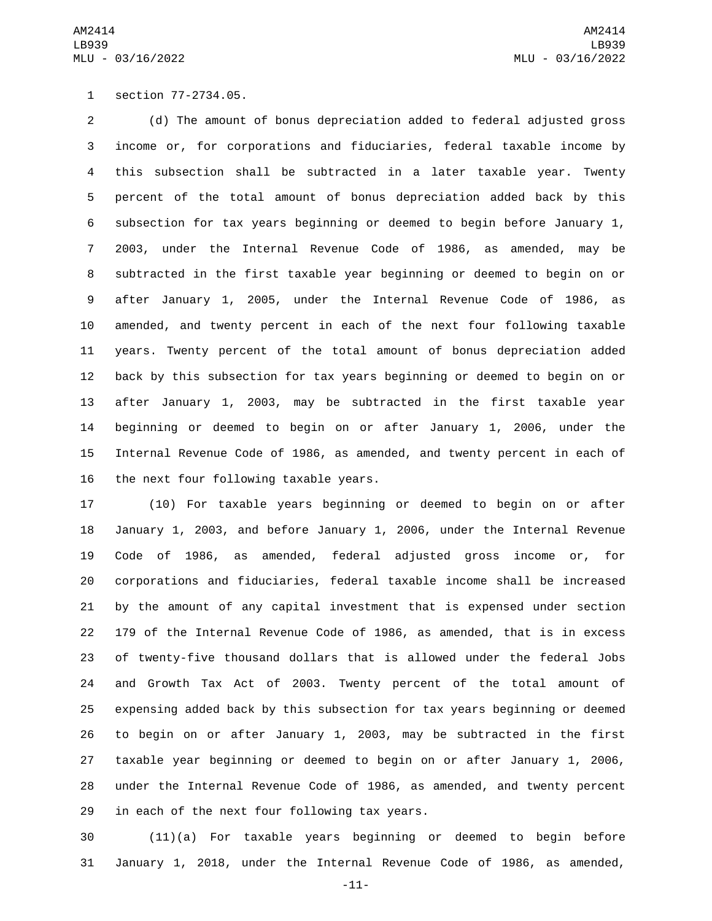1 section 77-2734.05.

 (d) The amount of bonus depreciation added to federal adjusted gross income or, for corporations and fiduciaries, federal taxable income by this subsection shall be subtracted in a later taxable year. Twenty percent of the total amount of bonus depreciation added back by this subsection for tax years beginning or deemed to begin before January 1, 2003, under the Internal Revenue Code of 1986, as amended, may be subtracted in the first taxable year beginning or deemed to begin on or after January 1, 2005, under the Internal Revenue Code of 1986, as amended, and twenty percent in each of the next four following taxable years. Twenty percent of the total amount of bonus depreciation added back by this subsection for tax years beginning or deemed to begin on or after January 1, 2003, may be subtracted in the first taxable year beginning or deemed to begin on or after January 1, 2006, under the Internal Revenue Code of 1986, as amended, and twenty percent in each of 16 the next four following taxable years.

 (10) For taxable years beginning or deemed to begin on or after January 1, 2003, and before January 1, 2006, under the Internal Revenue Code of 1986, as amended, federal adjusted gross income or, for corporations and fiduciaries, federal taxable income shall be increased by the amount of any capital investment that is expensed under section 179 of the Internal Revenue Code of 1986, as amended, that is in excess of twenty-five thousand dollars that is allowed under the federal Jobs and Growth Tax Act of 2003. Twenty percent of the total amount of expensing added back by this subsection for tax years beginning or deemed to begin on or after January 1, 2003, may be subtracted in the first taxable year beginning or deemed to begin on or after January 1, 2006, under the Internal Revenue Code of 1986, as amended, and twenty percent 29 in each of the next four following tax years.

 (11)(a) For taxable years beginning or deemed to begin before January 1, 2018, under the Internal Revenue Code of 1986, as amended,

-11-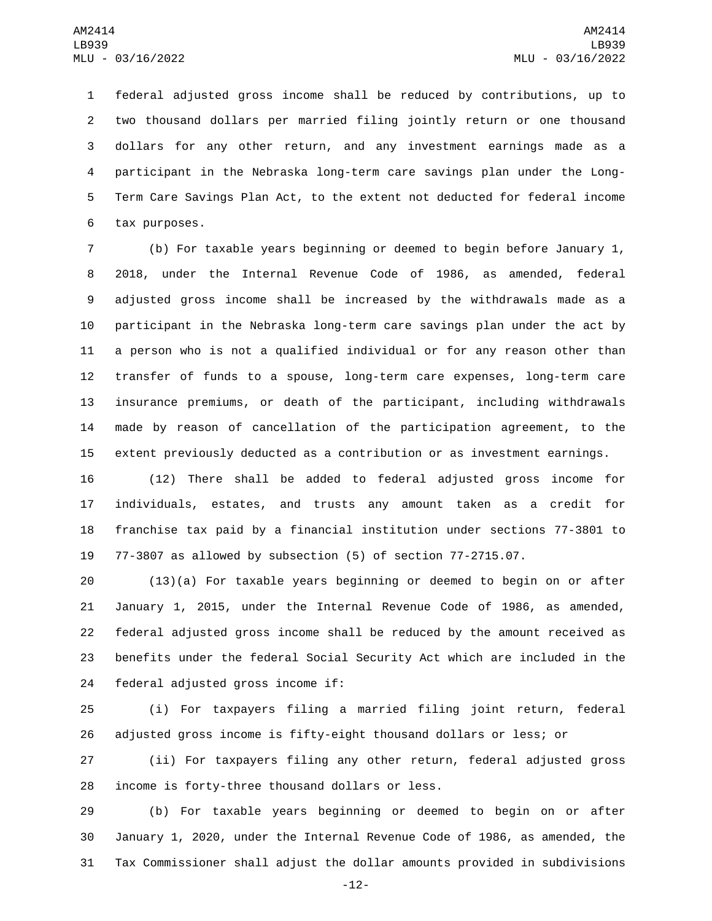federal adjusted gross income shall be reduced by contributions, up to two thousand dollars per married filing jointly return or one thousand dollars for any other return, and any investment earnings made as a participant in the Nebraska long-term care savings plan under the Long- Term Care Savings Plan Act, to the extent not deducted for federal income 6 tax purposes.

 (b) For taxable years beginning or deemed to begin before January 1, 2018, under the Internal Revenue Code of 1986, as amended, federal adjusted gross income shall be increased by the withdrawals made as a participant in the Nebraska long-term care savings plan under the act by a person who is not a qualified individual or for any reason other than transfer of funds to a spouse, long-term care expenses, long-term care insurance premiums, or death of the participant, including withdrawals made by reason of cancellation of the participation agreement, to the extent previously deducted as a contribution or as investment earnings.

 (12) There shall be added to federal adjusted gross income for individuals, estates, and trusts any amount taken as a credit for franchise tax paid by a financial institution under sections 77-3801 to 77-3807 as allowed by subsection (5) of section 77-2715.07.

 (13)(a) For taxable years beginning or deemed to begin on or after January 1, 2015, under the Internal Revenue Code of 1986, as amended, federal adjusted gross income shall be reduced by the amount received as benefits under the federal Social Security Act which are included in the 24 federal adjusted gross income if:

 (i) For taxpayers filing a married filing joint return, federal adjusted gross income is fifty-eight thousand dollars or less; or

 (ii) For taxpayers filing any other return, federal adjusted gross 28 income is forty-three thousand dollars or less.

 (b) For taxable years beginning or deemed to begin on or after January 1, 2020, under the Internal Revenue Code of 1986, as amended, the Tax Commissioner shall adjust the dollar amounts provided in subdivisions

-12-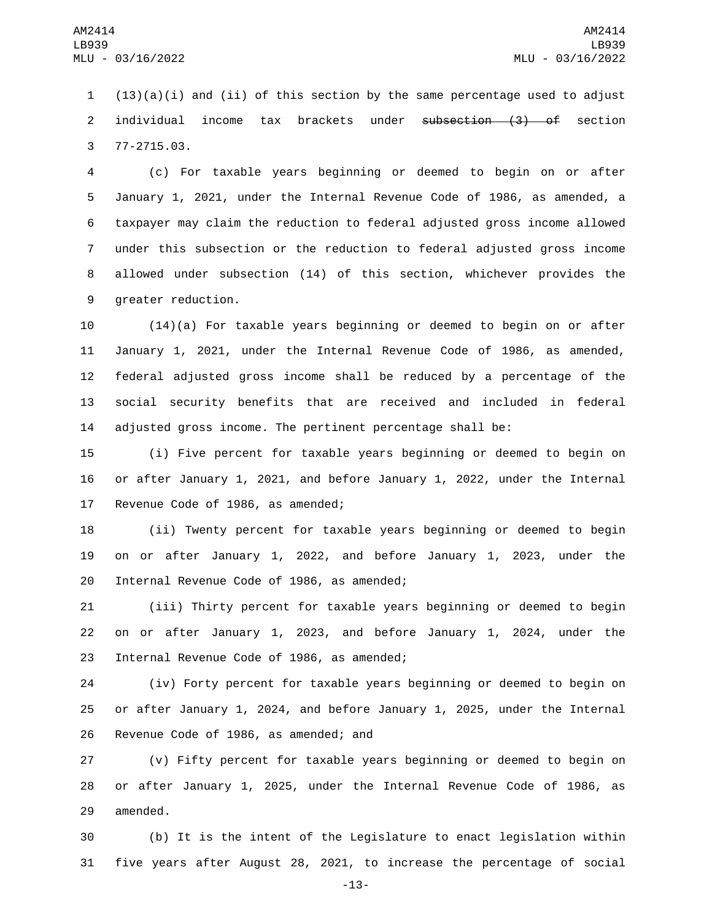1  $(13)(a)(i)$  and (ii) of this section by the same percentage used to adjust 2 individual income tax brackets under subsection (3) of section 77-2715.03.3

 (c) For taxable years beginning or deemed to begin on or after January 1, 2021, under the Internal Revenue Code of 1986, as amended, a taxpayer may claim the reduction to federal adjusted gross income allowed under this subsection or the reduction to federal adjusted gross income allowed under subsection (14) of this section, whichever provides the 9 greater reduction.

 (14)(a) For taxable years beginning or deemed to begin on or after January 1, 2021, under the Internal Revenue Code of 1986, as amended, federal adjusted gross income shall be reduced by a percentage of the social security benefits that are received and included in federal adjusted gross income. The pertinent percentage shall be:

15 (i) Five percent for taxable years beginning or deemed to begin on 16 or after January 1, 2021, and before January 1, 2022, under the Internal 17 Revenue Code of 1986, as amended;

18 (ii) Twenty percent for taxable years beginning or deemed to begin 19 on or after January 1, 2022, and before January 1, 2023, under the 20 Internal Revenue Code of 1986, as amended;

21 (iii) Thirty percent for taxable years beginning or deemed to begin 22 on or after January 1, 2023, and before January 1, 2024, under the 23 Internal Revenue Code of 1986, as amended;

24 (iv) Forty percent for taxable years beginning or deemed to begin on 25 or after January 1, 2024, and before January 1, 2025, under the Internal 26 Revenue Code of 1986, as amended; and

27 (v) Fifty percent for taxable years beginning or deemed to begin on 28 or after January 1, 2025, under the Internal Revenue Code of 1986, as 29 amended.

30 (b) It is the intent of the Legislature to enact legislation within 31 five years after August 28, 2021, to increase the percentage of social

-13-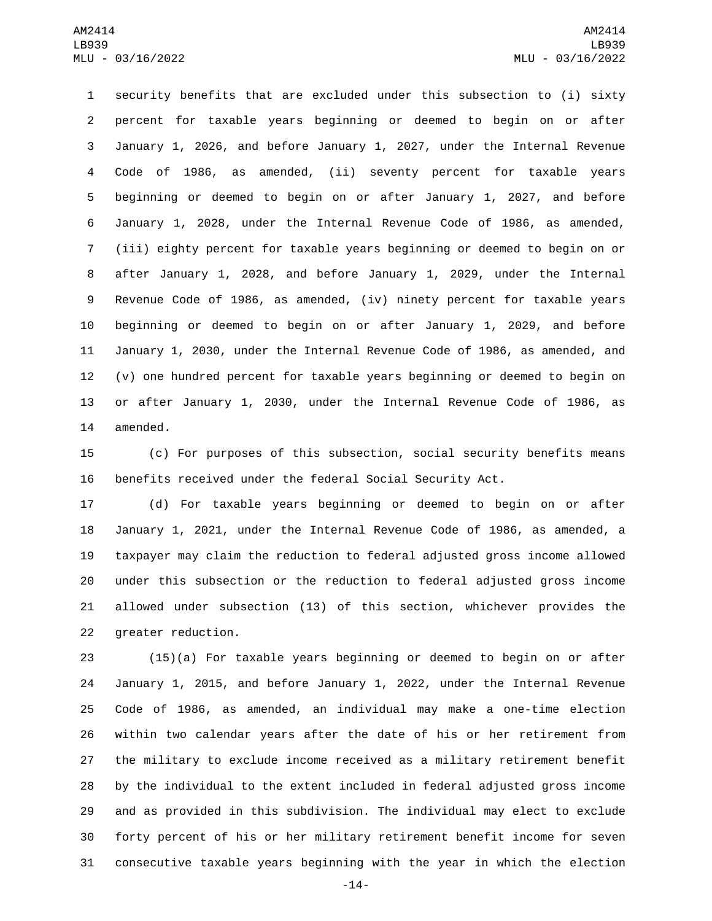security benefits that are excluded under this subsection to (i) sixty percent for taxable years beginning or deemed to begin on or after January 1, 2026, and before January 1, 2027, under the Internal Revenue Code of 1986, as amended, (ii) seventy percent for taxable years beginning or deemed to begin on or after January 1, 2027, and before January 1, 2028, under the Internal Revenue Code of 1986, as amended, (iii) eighty percent for taxable years beginning or deemed to begin on or after January 1, 2028, and before January 1, 2029, under the Internal Revenue Code of 1986, as amended, (iv) ninety percent for taxable years beginning or deemed to begin on or after January 1, 2029, and before January 1, 2030, under the Internal Revenue Code of 1986, as amended, and (v) one hundred percent for taxable years beginning or deemed to begin on or after January 1, 2030, under the Internal Revenue Code of 1986, as 14 amended.

 (c) For purposes of this subsection, social security benefits means benefits received under the federal Social Security Act.

 (d) For taxable years beginning or deemed to begin on or after January 1, 2021, under the Internal Revenue Code of 1986, as amended, a taxpayer may claim the reduction to federal adjusted gross income allowed under this subsection or the reduction to federal adjusted gross income allowed under subsection (13) of this section, whichever provides the 22 greater reduction.

 (15)(a) For taxable years beginning or deemed to begin on or after January 1, 2015, and before January 1, 2022, under the Internal Revenue Code of 1986, as amended, an individual may make a one-time election within two calendar years after the date of his or her retirement from the military to exclude income received as a military retirement benefit by the individual to the extent included in federal adjusted gross income and as provided in this subdivision. The individual may elect to exclude forty percent of his or her military retirement benefit income for seven consecutive taxable years beginning with the year in which the election

-14-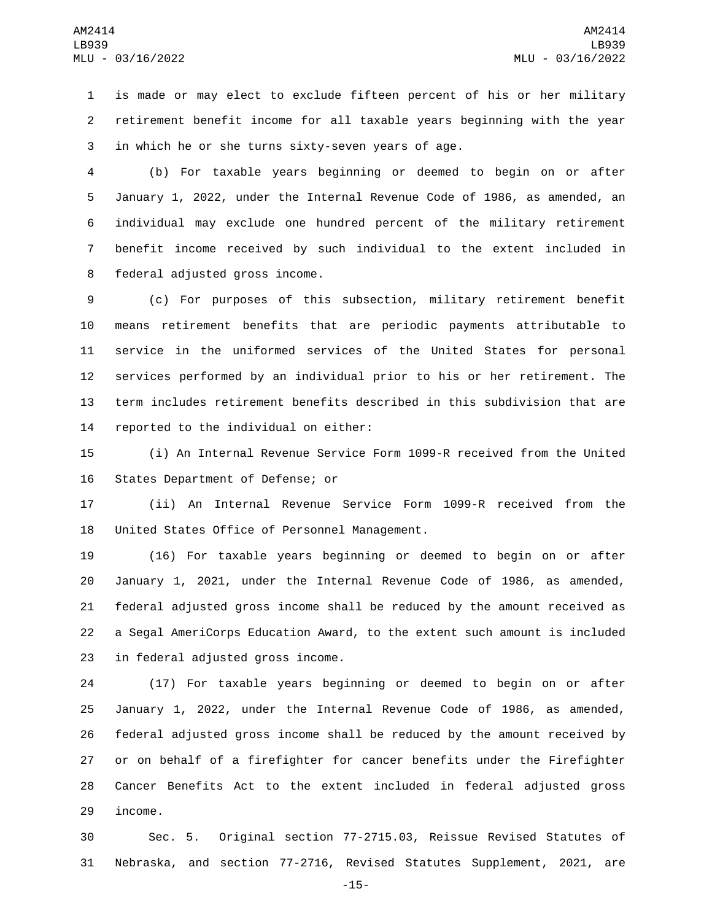is made or may elect to exclude fifteen percent of his or her military retirement benefit income for all taxable years beginning with the year 3 in which he or she turns sixty-seven years of age.

 (b) For taxable years beginning or deemed to begin on or after January 1, 2022, under the Internal Revenue Code of 1986, as amended, an individual may exclude one hundred percent of the military retirement benefit income received by such individual to the extent included in 8 federal adjusted gross income.

 (c) For purposes of this subsection, military retirement benefit means retirement benefits that are periodic payments attributable to service in the uniformed services of the United States for personal services performed by an individual prior to his or her retirement. The term includes retirement benefits described in this subdivision that are 14 reported to the individual on either:

 (i) An Internal Revenue Service Form 1099-R received from the United 16 States Department of Defense; or

 (ii) An Internal Revenue Service Form 1099-R received from the 18 United States Office of Personnel Management.

 (16) For taxable years beginning or deemed to begin on or after January 1, 2021, under the Internal Revenue Code of 1986, as amended, federal adjusted gross income shall be reduced by the amount received as a Segal AmeriCorps Education Award, to the extent such amount is included 23 in federal adjusted gross income.

 (17) For taxable years beginning or deemed to begin on or after January 1, 2022, under the Internal Revenue Code of 1986, as amended, federal adjusted gross income shall be reduced by the amount received by or on behalf of a firefighter for cancer benefits under the Firefighter Cancer Benefits Act to the extent included in federal adjusted gross 29 income.

 Sec. 5. Original section 77-2715.03, Reissue Revised Statutes of Nebraska, and section 77-2716, Revised Statutes Supplement, 2021, are

-15-